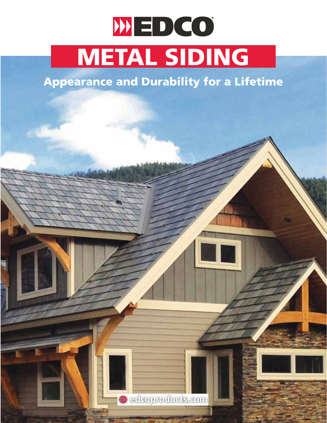# WEDCO METAL SIDING

#### Appearance and Durability for a Lifetime

**edcoproducts.com**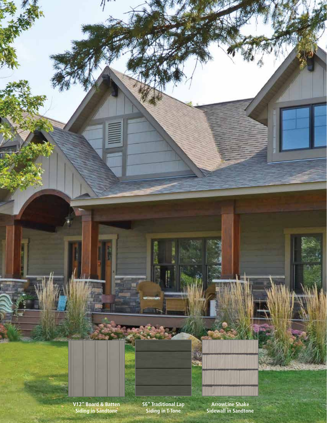**V12" Board & Batten Siding in Sandtone**

**S6" Traditional Lap Siding in T-Tone**

**ArrowLine Shake Sidewall in Sandtone**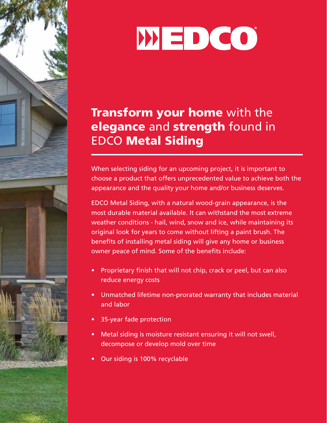

#### Transform your home with the elegance and strength found in EDCO Metal Siding

When selecting siding for an upcoming project, it is important to choose a product that offers unprecedented value to achieve both the appearance and the quality your home and/or business deserves.

EDCO Metal Siding, with a natural wood-grain appearance, is the most durable material available. It can withstand the most extreme weather conditions - hail, wind, snow and ice, while maintaining its original look for years to come without lifting a paint brush. The benefits of installing metal siding will give any home or business owner peace of mind. Some of the benefits include:

- Proprietary finish that will not chip, crack or peel, but can also reduce energy costs
- Unmatched lifetime non-prorated warranty that includes material and labor
- 35-year fade protection
- Metal siding is moisture resistant ensuring it will not swell, decompose or develop mold over time
- Our siding is 100% recyclable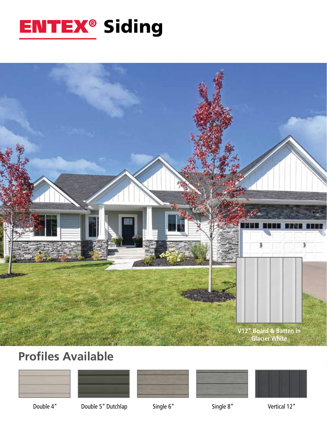### ENTEX® Siding



#### **Profiles Available**











Double 4" Double 5" Dutchlap Single 6" Single 8" Single 8" Vertical 12"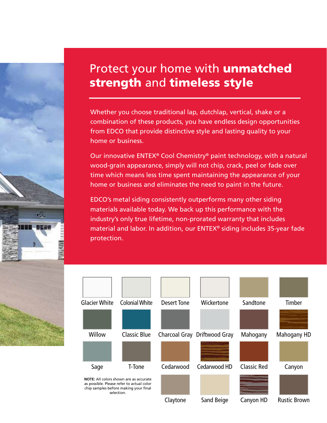#### Protect your home with unmatched strength and timeless style

Whether you choose traditional lap, dutchlap, vertical, shake or a combination of these products, you have endless design opportunities from EDCO that provide distinctive style and lasting quality to your home or business.

Our innovative ENTEX® Cool Chemistry® paint technology, with a natural wood-grain appearance, simply will not chip, crack, peel or fade over time which means less time spent maintaining the appearance of your home or business and eliminates the need to paint in the future.

EDCO's metal siding consistently outperforms many other siding materials available today. We back up this performance with the industry's only true lifetime, non-prorated warranty that includes material and labor. In addition, our ENTEX® siding includes 35-year fade protection.

 $\cdot$ 

erse

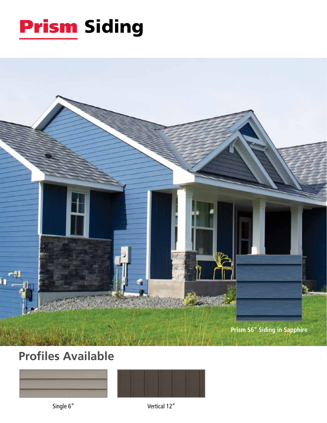



#### **Profiles Available**





Single 6" Vertical 12"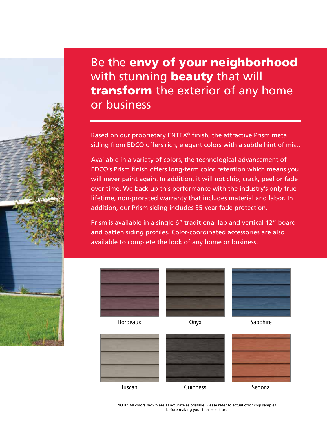Be the envy of your neighborhood with stunning **beauty** that will transform the exterior of any home or business

Based on our proprietary ENTEX® finish, the attractive Prism metal siding from EDCO offers rich, elegant colors with a subtle hint of mist.

Available in a variety of colors, the technological advancement of EDCO's Prism finish offers long-term color retention which means you will never paint again. In addition, it will not chip, crack, peel or fade over time. We back up this performance with the industry's only true lifetime, non-prorated warranty that includes material and labor. In addition, our Prism siding includes 35-year fade protection.

Prism is available in a single 6" traditional lap and vertical 12" board and batten siding profiles. Color-coordinated accessories are also available to complete the look of any home or business.







Bordeaux **Onyx** Onyx Sapphire



**NOTE:** All colors shown are as accurate as possible. Please refer to actual color chip samples before making your final selection.